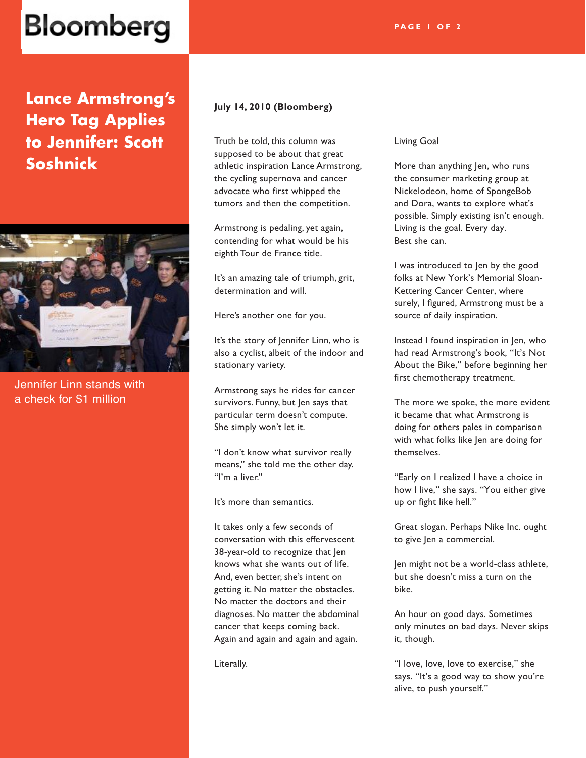## Bloomberg

**Lance Armstrong's Hero Tag Applies to Jennifer: Scott Soshnick**



Jennifer Linn stands with a check for \$1 million

## **July 14, 2010 (Bloomberg)**

Truth be told, this column was supposed to be about that great athletic inspiration Lance Armstrong, the cycling supernova and cancer advocate who first whipped the tumors and then the competition.

Armstrong is pedaling, yet again, contending for what would be his eighth Tour de France title.

It's an amazing tale of triumph, grit, determination and will.

Here's another one for you.

It's the story of Jennifer Linn, who is also a cyclist, albeit of the indoor and stationary variety.

Armstrong says he rides for cancer survivors. Funny, but Jen says that particular term doesn't compute. She simply won't let it.

"I don't know what survivor really means," she told me the other day. "I'm a liver."

It's more than semantics.

It takes only a few seconds of conversation with this effervescent 38-year-old to recognize that Jen knows what she wants out of life. And, even better, she's intent on getting it. No matter the obstacles. No matter the doctors and their diagnoses. No matter the abdominal cancer that keeps coming back. Again and again and again and again.

Literally.

#### Living Goal

More than anything Jen, who runs the consumer marketing group at Nickelodeon, home of SpongeBob and Dora, wants to explore what's possible. Simply existing isn't enough. Living is the goal. Every day. Best she can.

I was introduced to Jen by the good folks at New York's Memorial Sloan-Kettering Cancer Center, where surely, I figured, Armstrong must be a source of daily inspiration.

Instead I found inspiration in Jen, who had read Armstrong's book, "It's Not About the Bike," before beginning her first chemotherapy treatment.

The more we spoke, the more evident it became that what Armstrong is doing for others pales in comparison with what folks like Jen are doing for themselves.

"Early on I realized I have a choice in how I live," she says. "You either give up or fight like hell."

Great slogan. Perhaps Nike Inc. ought to give Jen a commercial.

Jen might not be a world-class athlete, but she doesn't miss a turn on the bike.

An hour on good days. Sometimes only minutes on bad days. Never skips it, though.

"I love, love, love to exercise," she says. "It's a good way to show you're alive, to push yourself."